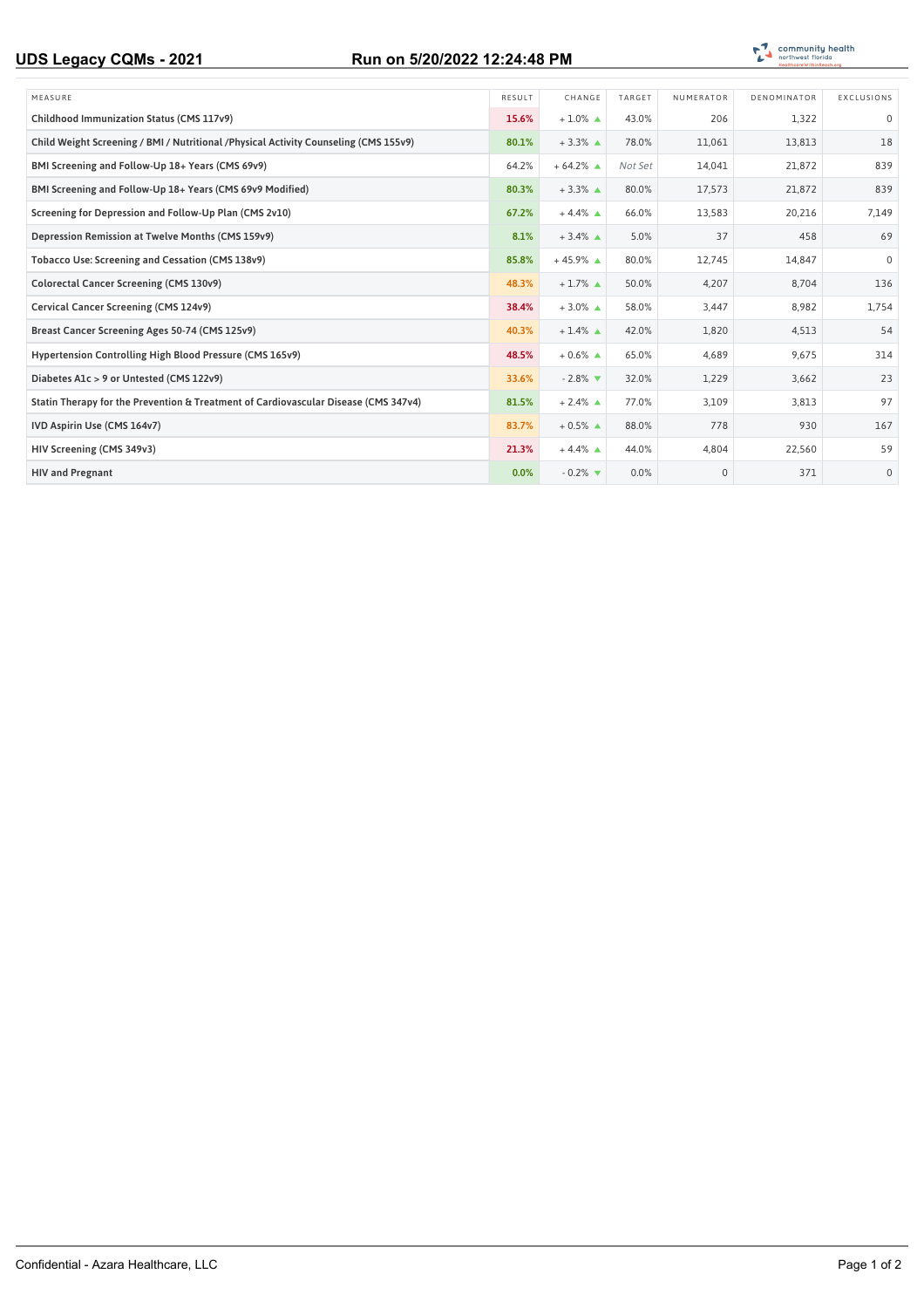## **UDS Legacy CQMs - 2021 Run on 5/20/2022 12:24:48 PM**



| MEASURE                                                                               | RESULT | CHANGE                        | TARGET  | NUMERATOR    | DENOMINATOR | EXCLUSIONS   |
|---------------------------------------------------------------------------------------|--------|-------------------------------|---------|--------------|-------------|--------------|
| Childhood Immunization Status (CMS 117v9)                                             | 15.6%  | $+1.0\%$ $\triangle$          | 43.0%   | 206          | 1,322       | $\mathbf 0$  |
| Child Weight Screening / BMI / Nutritional / Physical Activity Counseling (CMS 155v9) | 80.1%  | $+3.3\%$ $\triangle$          | 78.0%   | 11,061       | 13,813      | 18           |
| BMI Screening and Follow-Up 18+ Years (CMS 69v9)                                      | 64.2%  | $+64.2\%$ $\triangle$         | Not Set | 14.041       | 21,872      | 839          |
| BMI Screening and Follow-Up 18+ Years (CMS 69v9 Modified)                             | 80.3%  | $+3.3\%$ $\triangle$          | 80.0%   | 17,573       | 21,872      | 839          |
| Screening for Depression and Follow-Up Plan (CMS 2v10)                                | 67.2%  | $+4.4\%$ $\triangle$          | 66.0%   | 13,583       | 20,216      | 7,149        |
| Depression Remission at Twelve Months (CMS 159v9)                                     | 8.1%   | $+3.4\%$ $\triangle$          | 5.0%    | 37           | 458         | 69           |
| Tobacco Use: Screening and Cessation (CMS 138v9)                                      | 85.8%  | $+45.9\%$ $\triangle$         | 80.0%   | 12.745       | 14.847      | $\Omega$     |
| Colorectal Cancer Screening (CMS 130v9)                                               | 48.3%  | $+1.7\%$ $\triangle$          | 50.0%   | 4.207        | 8,704       | 136          |
| Cervical Cancer Screening (CMS 124v9)                                                 | 38.4%  | $+3.0\%$ $\triangle$          | 58.0%   | 3,447        | 8,982       | 1,754        |
| Breast Cancer Screening Ages 50-74 (CMS 125v9)                                        | 40.3%  | $+1.4\%$ $\triangle$          | 42.0%   | 1,820        | 4,513       | 54           |
| Hypertension Controlling High Blood Pressure (CMS 165v9)                              | 48.5%  | $+0.6\%$ $\triangle$          | 65.0%   | 4,689        | 9,675       | 314          |
| Diabetes A1c > 9 or Untested (CMS 122v9)                                              | 33.6%  | $-2.8\%$ $\blacktriangledown$ | 32.0%   | 1,229        | 3,662       | 23           |
| Statin Therapy for the Prevention & Treatment of Cardiovascular Disease (CMS 347v4)   | 81.5%  | $+2.4\%$ $\triangle$          | 77.0%   | 3,109        | 3,813       | 97           |
| IVD Aspirin Use (CMS 164v7)                                                           | 83.7%  | $+0.5\%$ $\triangle$          | 88.0%   | 778          | 930         | 167          |
| HIV Screening (CMS 349v3)                                                             | 21.3%  | $+4.4\%$ $\triangle$          | 44.0%   | 4,804        | 22,560      | 59           |
| <b>HIV and Pregnant</b>                                                               | 0.0%   | $-0.2\%$ $\blacktriangledown$ | 0.0%    | $\mathbf{0}$ | 371         | $\mathbf{0}$ |